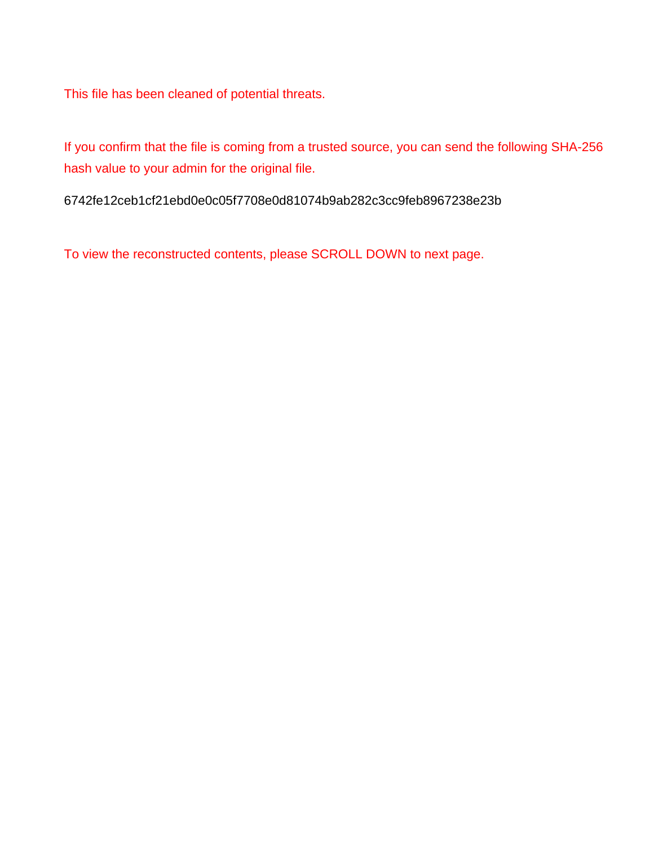This file has been cleaned of potential threats.

If you confirm that the file is coming from a trusted source, you can send the following SHA-256 hash value to your admin for the original file.

6742fe12ceb1cf21ebd0e0c05f7708e0d81074b9ab282c3cc9feb8967238e23b

To view the reconstructed contents, please SCROLL DOWN to next page.